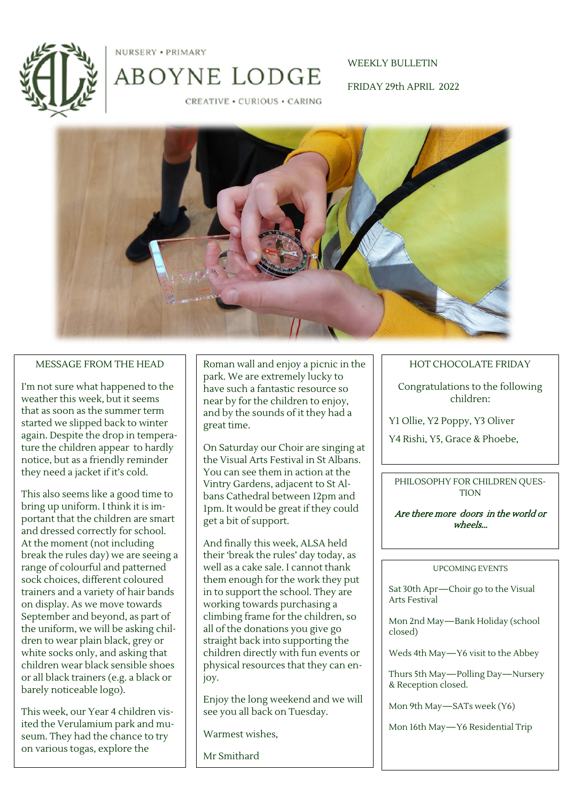



CREATIVE . CURIOUS . CARING

ABOYNE LODGE

WEEKLY BULLETIN FRIDAY 29th APRIL 2022



### MESSAGE FROM THE HEAD

I'm not sure what happened to the weather this week, but it seems that as soon as the summer term started we slipped back to winter again. Despite the drop in temperature the children appear to hardly notice, but as a friendly reminder they need a jacket if it's cold.

This also seems like a good time to bring up uniform. I think it is important that the children are smart and dressed correctly for school. At the moment (not including break the rules day) we are seeing a range of colourful and patterned sock choices, different coloured trainers and a variety of hair bands on display. As we move towards September and beyond, as part of the uniform, we will be asking children to wear plain black, grey or white socks only, and asking that children wear black sensible shoes or all black trainers (e.g. a black or barely noticeable logo).

This week, our Year 4 children visited the Verulamium park and museum. They had the chance to try on various togas, explore the

Roman wall and enjoy a picnic in the park. We are extremely lucky to have such a fantastic resource so near by for the children to enjoy, and by the sounds of it they had a great time.

On Saturday our Choir are singing at the Visual Arts Festival in St Albans. You can see them in action at the Vintry Gardens, adjacent to St Albans Cathedral between 12pm and 1pm. It would be great if they could get a bit of support.

And finally this week, ALSA held their 'break the rules' day today, as well as a cake sale. I cannot thank them enough for the work they put in to support the school. They are working towards purchasing a climbing frame for the children, so all of the donations you give go straight back into supporting the children directly with fun events or physical resources that they can enjoy.

Enjoy the long weekend and we will see you all back on Tuesday.

Warmest wishes,

Mr Smithard

### HOT CHOCOLATE FRIDAY

Congratulations to the following children:

Y1 Ollie, Y2 Poppy, Y3 Oliver

Y4 Rishi, Y5, Grace & Phoebe,

PHILOSOPHY FOR CHILDREN QUES-**TION** 

Are there more doors in the world or wheels...

#### UPCOMING EVENTS

Sat 30th Apr—Choir go to the Visual Arts Festival

Mon 2nd May—Bank Holiday (school closed)

Weds 4th May—Y6 visit to the Abbey

Thurs 5th May—Polling Day—Nursery & Reception closed.

Mon 9th May—SATs week (Y6)

Mon 16th May—Y6 Residential Trip